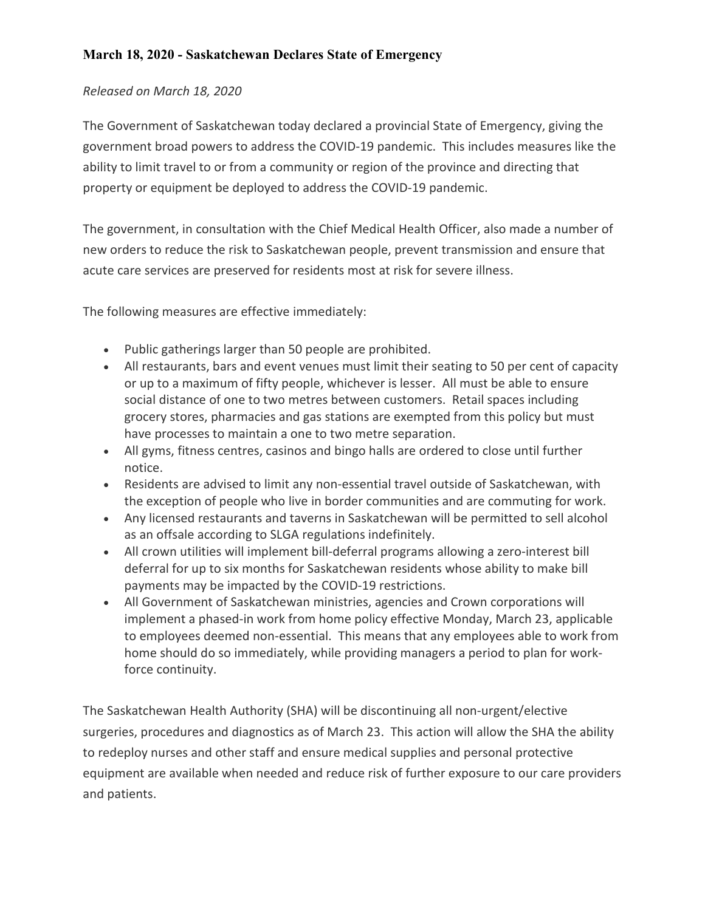## *Released on March 18, 2020*

The Government of Saskatchewan today declared a provincial State of Emergency, giving the government broad powers to address the COVID-19 pandemic. This includes measures like the ability to limit travel to or from a community or region of the province and directing that property or equipment be deployed to address the COVID-19 pandemic.

The government, in consultation with the Chief Medical Health Officer, also made a number of new orders to reduce the risk to Saskatchewan people, prevent transmission and ensure that acute care services are preserved for residents most at risk for severe illness.

The following measures are effective immediately:

- Public gatherings larger than 50 people are prohibited.
- All restaurants, bars and event venues must limit their seating to 50 per cent of capacity or up to a maximum of fifty people, whichever is lesser. All must be able to ensure social distance of one to two metres between customers. Retail spaces including grocery stores, pharmacies and gas stations are exempted from this policy but must have processes to maintain a one to two metre separation.
- All gyms, fitness centres, casinos and bingo halls are ordered to close until further notice.
- Residents are advised to limit any non-essential travel outside of Saskatchewan, with the exception of people who live in border communities and are commuting for work.
- Any licensed restaurants and taverns in Saskatchewan will be permitted to sell alcohol as an offsale according to SLGA regulations indefinitely.
- All crown utilities will implement bill-deferral programs allowing a zero-interest bill deferral for up to six months for Saskatchewan residents whose ability to make bill payments may be impacted by the COVID-19 restrictions.
- All Government of Saskatchewan ministries, agencies and Crown corporations will implement a phased-in work from home policy effective Monday, March 23, applicable to employees deemed non-essential. This means that any employees able to work from home should do so immediately, while providing managers a period to plan for workforce continuity.

The Saskatchewan Health Authority (SHA) will be discontinuing all non-urgent/elective surgeries, procedures and diagnostics as of March 23. This action will allow the SHA the ability to redeploy nurses and other staff and ensure medical supplies and personal protective equipment are available when needed and reduce risk of further exposure to our care providers and patients.